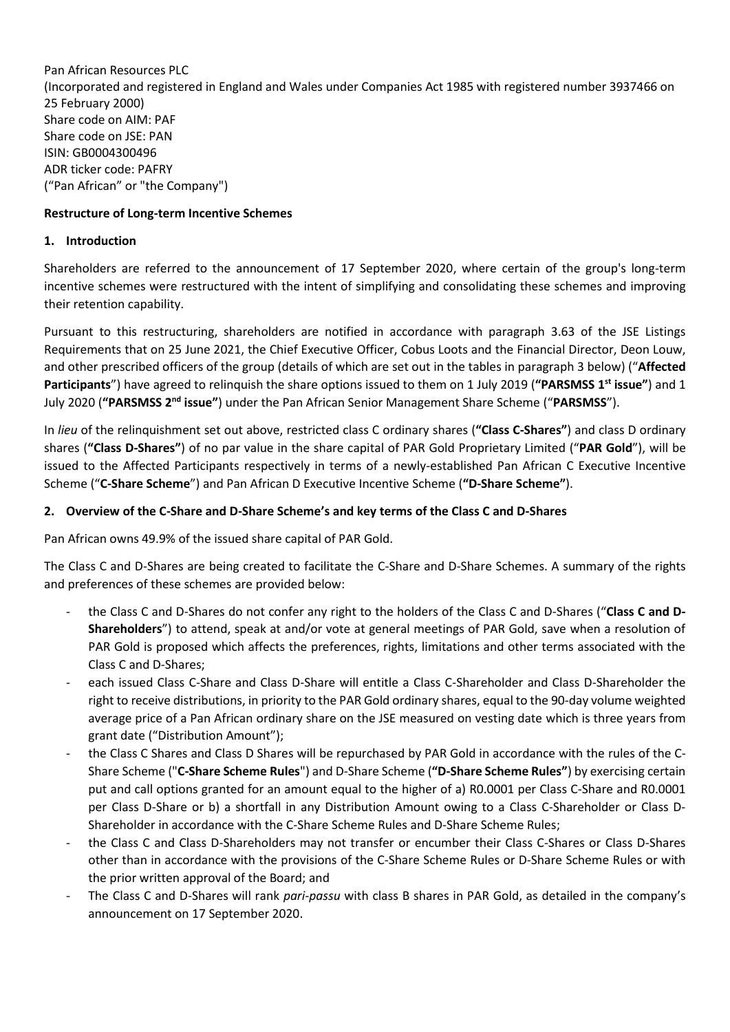Pan African Resources PLC (Incorporated and registered in England and Wales under Companies Act 1985 with registered number 3937466 on 25 February 2000) Share code on AIM: PAF Share code on JSE: PAN ISIN: GB0004300496 ADR ticker code: PAFRY ("Pan African" or "the Company")

# **Restructure of Long-term Incentive Schemes**

### **1. Introduction**

Shareholders are referred to the announcement of 17 September 2020, where certain of the group's long-term incentive schemes were restructured with the intent of simplifying and consolidating these schemes and improving their retention capability.

Pursuant to this restructuring, shareholders are notified in accordance with paragraph 3.63 of the JSE Listings Requirements that on 25 June 2021, the Chief Executive Officer, Cobus Loots and the Financial Director, Deon Louw, and other prescribed officers of the group (details of which are set out in the tables in paragraph [3](#page-1-0) below) ("**Affected Participants**") have agreed to relinquish the share options issued to them on 1 July 2019 (**"PARSMSS 1 st issue"**) and 1 July 2020 (**"PARSMSS 2nd issue"**) under the Pan African Senior Management Share Scheme ("**PARSMSS**").

In *lieu* of the relinquishment set out above, restricted class C ordinary shares (**"Class C-Shares"**) and class D ordinary shares (**"Class D-Shares"**) of no par value in the share capital of PAR Gold Proprietary Limited ("**PAR Gold**"), will be issued to the Affected Participants respectively in terms of a newly-established Pan African C Executive Incentive Scheme ("**C-Share Scheme**") and Pan African D Executive Incentive Scheme (**"D-Share Scheme"**).

# **2. Overview of the C-Share and D-Share Scheme's and key terms of the Class C and D-Shares**

Pan African owns 49.9% of the issued share capital of PAR Gold.

The Class C and D-Shares are being created to facilitate the C-Share and D-Share Schemes. A summary of the rights and preferences of these schemes are provided below:

- the Class C and D-Shares do not confer any right to the holders of the Class C and D-Shares ("**Class C and D-Shareholders**") to attend, speak at and/or vote at general meetings of PAR Gold, save when a resolution of PAR Gold is proposed which affects the preferences, rights, limitations and other terms associated with the Class C and D-Shares;
- each issued Class C-Share and Class D-Share will entitle a Class C-Shareholder and Class D-Shareholder the right to receive distributions, in priority to the PAR Gold ordinary shares, equal to the 90-day volume weighted average price of a Pan African ordinary share on the JSE measured on vesting date which is three years from grant date ("Distribution Amount");
- the Class C Shares and Class D Shares will be repurchased by PAR Gold in accordance with the rules of the C-Share Scheme ("**C-Share Scheme Rules**") and D-Share Scheme (**"D-Share Scheme Rules"**) by exercising certain put and call options granted for an amount equal to the higher of a) R0.0001 per Class C-Share and R0.0001 per Class D-Share or b) a shortfall in any Distribution Amount owing to a Class C-Shareholder or Class D-Shareholder in accordance with the C-Share Scheme Rules and D-Share Scheme Rules;
- the Class C and Class D-Shareholders may not transfer or encumber their Class C-Shares or Class D-Shares other than in accordance with the provisions of the C-Share Scheme Rules or D-Share Scheme Rules or with the prior written approval of the Board; and
- The Class C and D-Shares will rank *pari-passu* with class B shares in PAR Gold, as detailed in the company's announcement on 17 September 2020.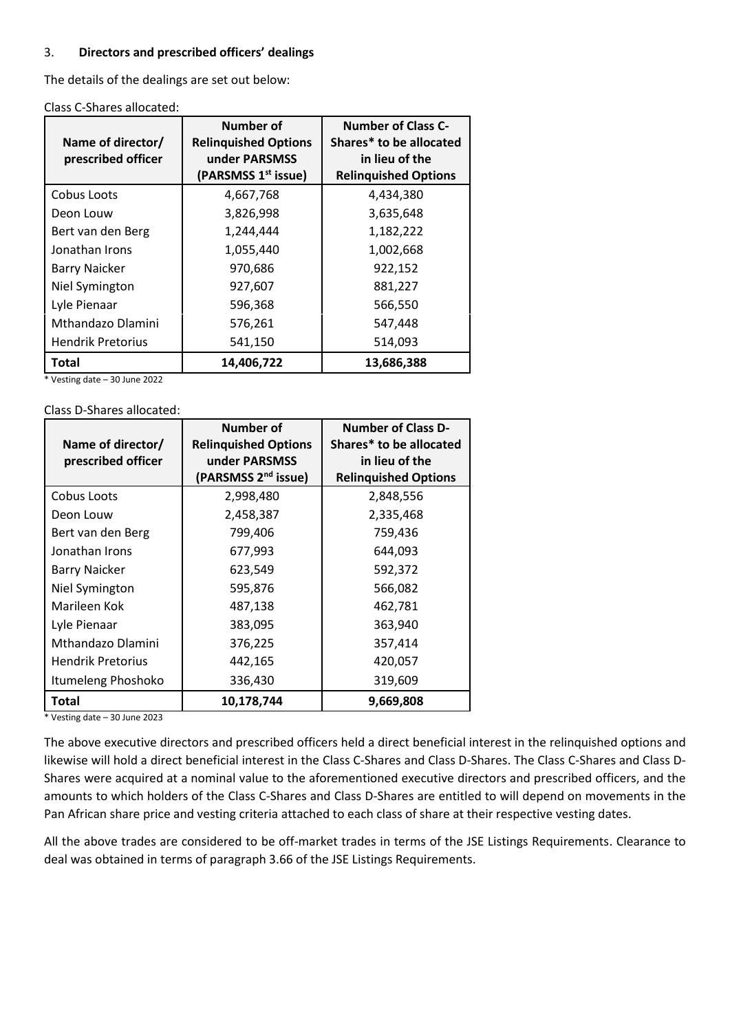#### <span id="page-1-0"></span>3. **Directors and prescribed officers' dealings**

The details of the dealings are set out below:

| Class C-Shares allocated: |  |
|---------------------------|--|
|---------------------------|--|

| Name of director/<br>prescribed officer | Number of<br><b>Relinguished Options</b><br>under PARSMSS<br>(PARSMSS 1 <sup>st</sup> issue) | <b>Number of Class C-</b><br>Shares* to be allocated<br>in lieu of the<br><b>Relinguished Options</b> |
|-----------------------------------------|----------------------------------------------------------------------------------------------|-------------------------------------------------------------------------------------------------------|
| Cobus Loots                             | 4,667,768                                                                                    | 4,434,380                                                                                             |
| Deon Louw                               | 3,826,998                                                                                    | 3,635,648                                                                                             |
| Bert van den Berg                       | 1,244,444                                                                                    | 1,182,222                                                                                             |
| Jonathan Irons                          | 1,055,440                                                                                    | 1,002,668                                                                                             |
| <b>Barry Naicker</b>                    | 970,686                                                                                      | 922,152                                                                                               |
| Niel Symington                          | 927,607                                                                                      | 881,227                                                                                               |
| Lyle Pienaar                            | 596,368                                                                                      | 566,550                                                                                               |
| Mthandazo Dlamini                       | 576,261                                                                                      | 547,448                                                                                               |
| <b>Hendrik Pretorius</b>                | 541,150                                                                                      | 514,093                                                                                               |
| Total                                   | 14,406,722                                                                                   | 13,686,388                                                                                            |

\* Vesting date – 30 June 2022

Class D-Shares allocated:

|                          | Number of                       | <b>Number of Class D-</b>   |
|--------------------------|---------------------------------|-----------------------------|
| Name of director/        | <b>Relinquished Options</b>     | Shares* to be allocated     |
| prescribed officer       | under PARSMSS                   | in lieu of the              |
|                          | (PARSMSS 2 <sup>nd</sup> issue) | <b>Relinquished Options</b> |
| Cobus Loots              | 2,998,480                       | 2,848,556                   |
| Deon Louw                | 2,458,387                       | 2,335,468                   |
| Bert van den Berg        | 799,406                         | 759,436                     |
| Jonathan Irons           | 677,993                         | 644,093                     |
| <b>Barry Naicker</b>     | 623,549                         | 592,372                     |
| Niel Symington           | 595,876                         | 566,082                     |
| Marileen Kok             | 487,138                         | 462,781                     |
| Lyle Pienaar             | 383,095                         | 363,940                     |
| Mthandazo Dlamini        | 376,225                         | 357,414                     |
| <b>Hendrik Pretorius</b> | 442,165                         | 420,057                     |
| Itumeleng Phoshoko       | 336,430                         | 319,609                     |
| Total                    | 10,178,744                      | 9,669,808                   |

\* Vesting date – 30 June 2023

The above executive directors and prescribed officers held a direct beneficial interest in the relinquished options and likewise will hold a direct beneficial interest in the Class C-Shares and Class D-Shares. The Class C-Shares and Class D-Shares were acquired at a nominal value to the aforementioned executive directors and prescribed officers, and the amounts to which holders of the Class C-Shares and Class D-Shares are entitled to will depend on movements in the Pan African share price and vesting criteria attached to each class of share at their respective vesting dates.

All the above trades are considered to be off-market trades in terms of the JSE Listings Requirements. Clearance to deal was obtained in terms of paragraph 3.66 of the JSE Listings Requirements.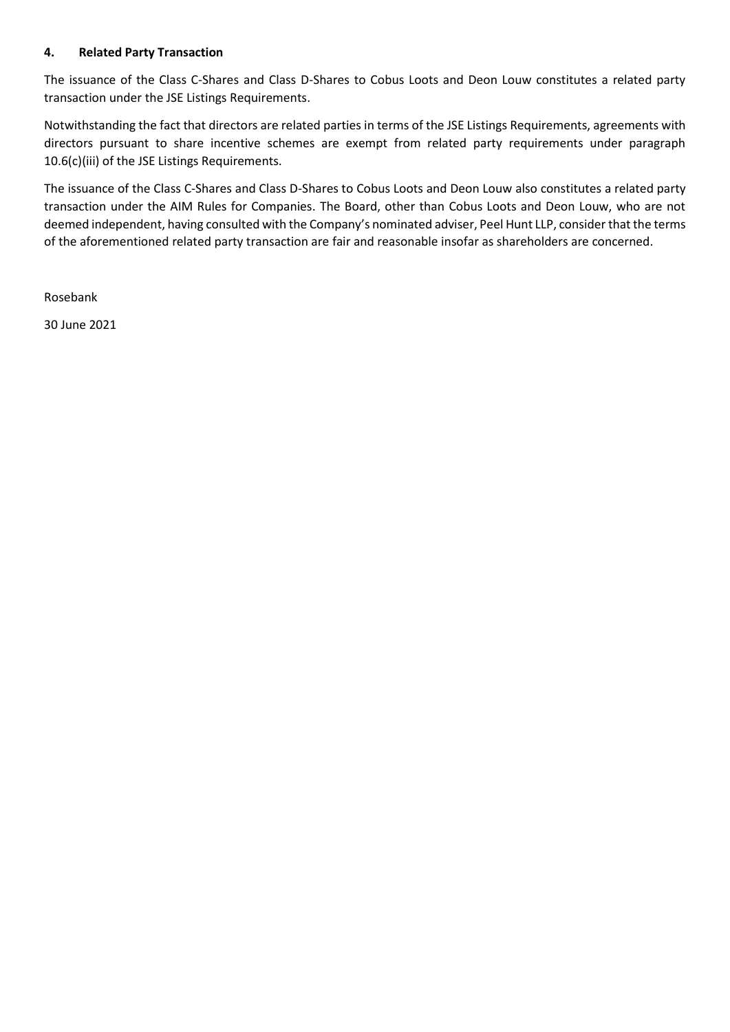## **4. Related Party Transaction**

The issuance of the Class C-Shares and Class D-Shares to Cobus Loots and Deon Louw constitutes a related party transaction under the JSE Listings Requirements.

Notwithstanding the fact that directors are related parties in terms of the JSE Listings Requirements, agreements with directors pursuant to share incentive schemes are exempt from related party requirements under paragraph 10.6(c)(iii) of the JSE Listings Requirements.

The issuance of the Class C-Shares and Class D-Shares to Cobus Loots and Deon Louw also constitutes a related party transaction under the AIM Rules for Companies. The Board, other than Cobus Loots and Deon Louw, who are not deemed independent, having consulted with the Company's nominated adviser, Peel Hunt LLP, consider that the terms of the aforementioned related party transaction are fair and reasonable insofar as shareholders are concerned.

Rosebank

30 June 2021